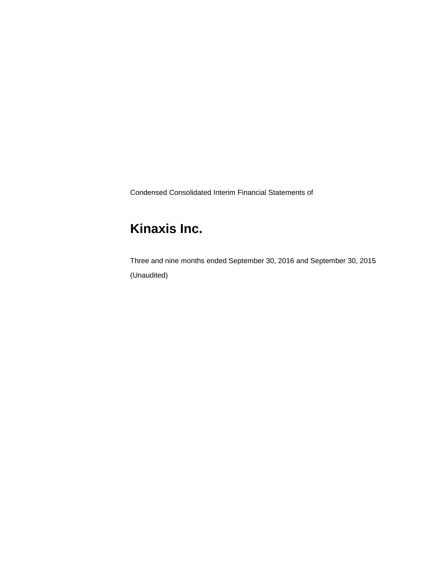Condensed Consolidated Interim Financial Statements of

# **Kinaxis Inc.**

Three and nine months ended September 30, 2016 and September 30, 2015 (Unaudited)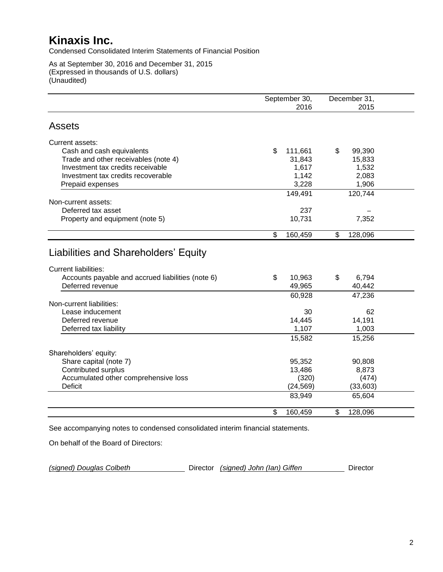Condensed Consolidated Interim Statements of Financial Position

As at September 30, 2016 and December 31, 2015 (Expressed in thousands of U.S. dollars) (Unaudited)

|                                                                                                                          | September 30,<br>2016 | December 31,<br>2015 |  |
|--------------------------------------------------------------------------------------------------------------------------|-----------------------|----------------------|--|
| <b>Assets</b>                                                                                                            |                       |                      |  |
| Current assets:                                                                                                          |                       |                      |  |
| Cash and cash equivalents                                                                                                | \$<br>111,661         | \$<br>99,390         |  |
| Trade and other receivables (note 4)                                                                                     | 31,843                | 15,833               |  |
| Investment tax credits receivable                                                                                        | 1,617                 | 1,532                |  |
| Investment tax credits recoverable                                                                                       | 1,142                 | 2,083                |  |
| Prepaid expenses                                                                                                         | 3,228                 | 1,906                |  |
|                                                                                                                          | 149,491               | 120,744              |  |
| Non-current assets:                                                                                                      |                       |                      |  |
| Deferred tax asset                                                                                                       | 237                   |                      |  |
| Property and equipment (note 5)                                                                                          | 10,731                | 7,352                |  |
|                                                                                                                          | \$<br>160,459         | \$<br>128,096        |  |
| Liabilities and Shareholders' Equity<br><b>Current liabilities:</b><br>Accounts payable and accrued liabilities (note 6) | \$<br>10,963          | \$<br>6,794          |  |
| Deferred revenue                                                                                                         | 49,965                | 40,442               |  |
|                                                                                                                          | 60,928                | 47,236               |  |
| Non-current liabilities:                                                                                                 |                       |                      |  |
| Lease inducement                                                                                                         | 30                    | 62                   |  |
| Deferred revenue                                                                                                         | 14,445                | 14,191               |  |
| Deferred tax liability                                                                                                   | 1,107                 | 1,003                |  |
|                                                                                                                          | 15,582                | 15,256               |  |
| Shareholders' equity:                                                                                                    |                       |                      |  |
| Share capital (note 7)                                                                                                   | 95,352                | 90,808               |  |
| Contributed surplus                                                                                                      | 13,486                | 8,873                |  |
| Accumulated other comprehensive loss                                                                                     | (320)                 | (474)                |  |
| <b>Deficit</b>                                                                                                           | (24, 569)             | (33,603)             |  |
|                                                                                                                          | 83,949                | 65,604               |  |
|                                                                                                                          | \$<br>160,459         | \$<br>128,096        |  |

See accompanying notes to condensed consolidated interim financial statements.

On behalf of the Board of Directors:

*(signed) Douglas Colbeth* Director *(signed) John (Ian) Giffen* Director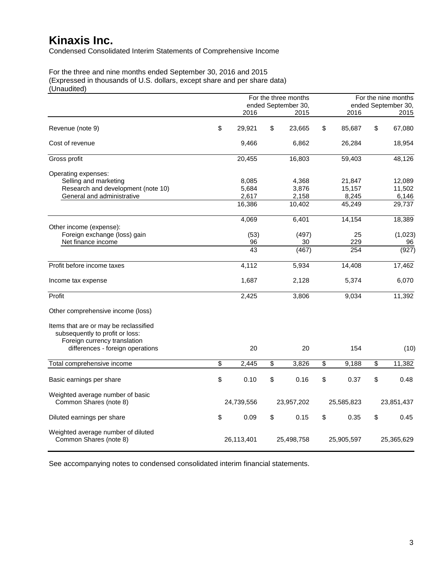Condensed Consolidated Interim Statements of Comprehensive Income

For the three and nine months ended September 30, 2016 and 2015 (Expressed in thousands of U.S. dollars, except share and per share data) (Unaudited)

|                                                                                                                                              | For the three months<br>ended September 30, |                         |    |                         |    | For the nine months<br>ended September 30, |    |                           |
|----------------------------------------------------------------------------------------------------------------------------------------------|---------------------------------------------|-------------------------|----|-------------------------|----|--------------------------------------------|----|---------------------------|
|                                                                                                                                              |                                             | 2016                    |    | 2015                    |    | 2016                                       |    | 2015                      |
| Revenue (note 9)                                                                                                                             | \$                                          | 29,921                  | \$ | 23,665                  | \$ | 85,687                                     | \$ | 67,080                    |
| Cost of revenue                                                                                                                              |                                             | 9,466                   |    | 6,862                   |    | 26,284                                     |    | 18,954                    |
| Gross profit                                                                                                                                 |                                             | 20,455                  |    | 16,803                  |    | 59,403                                     |    | 48,126                    |
| Operating expenses:<br>Selling and marketing<br>Research and development (note 10)<br>General and administrative                             |                                             | 8,085<br>5,684<br>2,617 |    | 4,368<br>3,876<br>2,158 |    | 21,847<br>15,157<br>8,245                  |    | 12,089<br>11,502<br>6,146 |
|                                                                                                                                              |                                             | 16,386                  |    | 10,402                  |    | 45,249                                     |    | 29,737                    |
| Other income (expense):                                                                                                                      |                                             | 4,069                   |    | 6,401                   |    | 14,154                                     |    | 18,389                    |
| Foreign exchange (loss) gain<br>Net finance income                                                                                           |                                             | (53)<br>96<br>43        |    | (497)<br>30<br>(467)    |    | 25<br>229<br>254                           |    | (1,023)<br>96<br>(927)    |
| Profit before income taxes                                                                                                                   |                                             | 4,112                   |    | 5,934                   |    | 14,408                                     |    | 17,462                    |
| Income tax expense                                                                                                                           |                                             | 1,687                   |    | 2,128                   |    | 5,374                                      |    | 6,070                     |
| Profit                                                                                                                                       |                                             | 2,425                   |    | 3,806                   |    | 9,034                                      |    | 11,392                    |
| Other comprehensive income (loss)                                                                                                            |                                             |                         |    |                         |    |                                            |    |                           |
| Items that are or may be reclassified<br>subsequently to profit or loss:<br>Foreign currency translation<br>differences - foreign operations |                                             | 20                      |    | 20                      |    | 154                                        |    | (10)                      |
|                                                                                                                                              |                                             |                         |    |                         |    |                                            |    |                           |
| Total comprehensive income                                                                                                                   | \$                                          | 2,445                   | \$ | 3,826                   | \$ | 9,188                                      | \$ | 11,382                    |
| Basic earnings per share                                                                                                                     | \$                                          | 0.10                    | \$ | 0.16                    | \$ | 0.37                                       | \$ | 0.48                      |
| Weighted average number of basic<br>Common Shares (note 8)                                                                                   |                                             | 24,739,556              |    | 23,957,202              |    | 25,585,823                                 |    | 23,851,437                |
| Diluted earnings per share                                                                                                                   | \$                                          | 0.09                    | \$ | 0.15                    | \$ | 0.35                                       | \$ | 0.45                      |
| Weighted average number of diluted<br>Common Shares (note 8)                                                                                 |                                             | 26,113,401              |    | 25,498,758              |    | 25,905,597                                 |    | 25,365,629                |

See accompanying notes to condensed consolidated interim financial statements.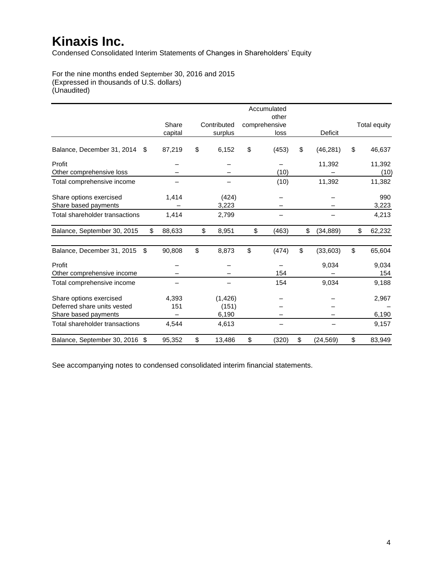Condensed Consolidated Interim Statements of Changes in Shareholders' Equity

For the nine months ended September 30, 2016 and 2015 (Expressed in thousands of U.S. dollars) (Unaudited)

|                                  |              |              | Accumulated<br>other |                 |                     |
|----------------------------------|--------------|--------------|----------------------|-----------------|---------------------|
|                                  | Share        | Contributed  | comprehensive        |                 | <b>Total equity</b> |
|                                  |              |              |                      |                 |                     |
|                                  | capital      | surplus      | loss                 | Deficit         |                     |
| Balance, December 31, 2014<br>S. | 87,219       | \$<br>6,152  | \$<br>(453)          | \$<br>(46, 281) | \$<br>46,637        |
| Profit                           |              |              |                      | 11,392          | 11,392              |
| Other comprehensive loss         |              |              | (10)                 |                 | (10)                |
| Total comprehensive income       |              |              | (10)                 | 11,392          | 11,382              |
| Share options exercised          | 1,414        | (424)        |                      |                 | 990                 |
| Share based payments             |              | 3,223        |                      |                 | 3,223               |
| Total shareholder transactions   | 1,414        | 2,799        |                      |                 | 4,213               |
| Balance, September 30, 2015      | \$<br>88,633 | \$<br>8,951  | \$<br>(463)          | \$<br>(34, 889) | \$<br>62,232        |
| Balance, December 31, 2015<br>\$ | 90,808       | \$<br>8,873  | \$<br>(474)          | \$<br>(33,603)  | \$<br>65,604        |
| Profit                           |              |              |                      | 9,034           | 9,034               |
| Other comprehensive income       |              |              | 154                  |                 | 154                 |
| Total comprehensive income       |              |              | 154                  | 9,034           | 9,188               |
| Share options exercised          | 4,393        | (1, 426)     |                      |                 | 2,967               |
| Deferred share units vested      | 151          | (151)        |                      |                 |                     |
| Share based payments             |              | 6,190        |                      |                 | 6,190               |
| Total shareholder transactions   | 4,544        | 4,613        |                      |                 | 9,157               |
| Balance, September 30, 2016 \$   | 95,352       | \$<br>13,486 | \$<br>(320)          | \$<br>(24, 569) | \$<br>83,949        |

See accompanying notes to condensed consolidated interim financial statements.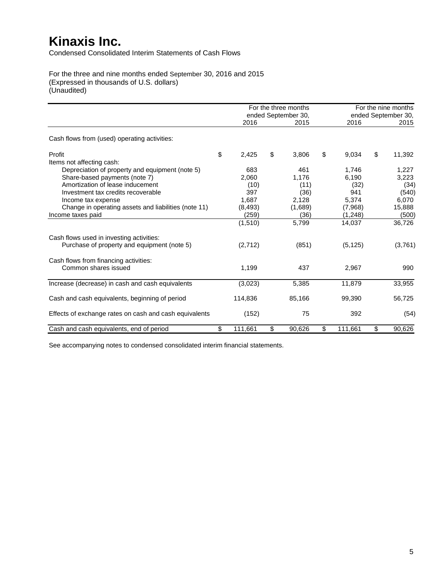Condensed Consolidated Interim Statements of Cash Flows

For the three and nine months ended September 30, 2016 and 2015 (Expressed in thousands of U.S. dollars) (Unaudited)

|                                                        |               | For the three months<br>ended September 30, |               | For the nine months<br>ended September 30, |
|--------------------------------------------------------|---------------|---------------------------------------------|---------------|--------------------------------------------|
|                                                        | 2016          | 2015                                        | 2016          | 2015                                       |
| Cash flows from (used) operating activities:           |               |                                             |               |                                            |
| Profit                                                 | \$<br>2,425   | \$<br>3,806                                 | \$<br>9,034   | \$<br>11,392                               |
| Items not affecting cash:                              |               |                                             |               |                                            |
| Depreciation of property and equipment (note 5)        | 683           | 461                                         | 1,746         | 1,227                                      |
| Share-based payments (note 7)                          | 2,060         | 1,176                                       | 6,190         | 3,223                                      |
| Amortization of lease inducement                       | (10)          | (11)                                        | (32)          | (34)                                       |
| Investment tax credits recoverable                     | 397           | (36)                                        | 941           | (540)                                      |
| Income tax expense                                     | 1.687         | 2,128                                       | 5,374         | 6,070                                      |
| Change in operating assets and liabilities (note 11)   | (8, 493)      | (1,689)                                     | (7,968)       | 15,888                                     |
| Income taxes paid                                      | (259)         | (36)                                        | (1,248)       | (500)                                      |
|                                                        | (1, 510)      | 5,799                                       | 14,037        | 36,726                                     |
| Cash flows used in investing activities:               |               |                                             |               |                                            |
| Purchase of property and equipment (note 5)            | (2,712)       | (851)                                       | (5, 125)      | (3,761)                                    |
| Cash flows from financing activities:                  |               |                                             |               |                                            |
| Common shares issued                                   | 1,199         | 437                                         | 2,967         | 990                                        |
| Increase (decrease) in cash and cash equivalents       | (3,023)       | 5,385                                       | 11,879        | 33,955                                     |
| Cash and cash equivalents, beginning of period         | 114,836       | 85,166                                      | 99,390        | 56,725                                     |
| Effects of exchange rates on cash and cash equivalents | (152)         | 75                                          | 392           | (54)                                       |
| Cash and cash equivalents, end of period               | \$<br>111,661 | \$<br>90,626                                | \$<br>111,661 | \$<br>90,626                               |

See accompanying notes to condensed consolidated interim financial statements.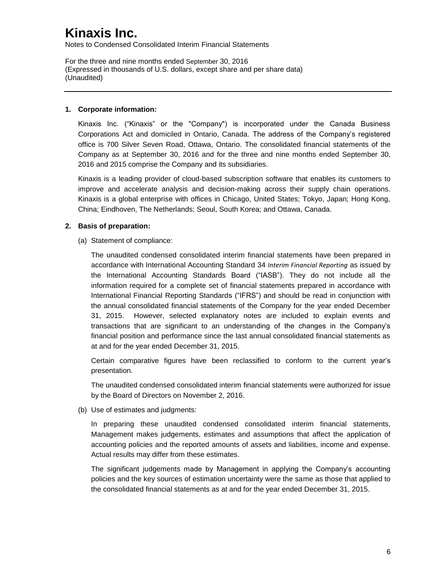Notes to Condensed Consolidated Interim Financial Statements

For the three and nine months ended September 30, 2016 (Expressed in thousands of U.S. dollars, except share and per share data) (Unaudited)

#### **1. Corporate information:**

Kinaxis Inc. ("Kinaxis" or the "Company") is incorporated under the Canada Business Corporations Act and domiciled in Ontario, Canada. The address of the Company's registered office is 700 Silver Seven Road, Ottawa, Ontario. The consolidated financial statements of the Company as at September 30, 2016 and for the three and nine months ended September 30, 2016 and 2015 comprise the Company and its subsidiaries.

Kinaxis is a leading provider of cloud-based subscription software that enables its customers to improve and accelerate analysis and decision-making across their supply chain operations. Kinaxis is a global enterprise with offices in Chicago, United States; Tokyo, Japan; Hong Kong, China; Eindhoven, The Netherlands; Seoul, South Korea; and Ottawa, Canada.

#### **2. Basis of preparation:**

(a) Statement of compliance:

The unaudited condensed consolidated interim financial statements have been prepared in accordance with International Accounting Standard 34 *Interim Financial Reporting* as issued by the International Accounting Standards Board ("IASB"). They do not include all the information required for a complete set of financial statements prepared in accordance with International Financial Reporting Standards ("IFRS") and should be read in conjunction with the annual consolidated financial statements of the Company for the year ended December 31, 2015. However, selected explanatory notes are included to explain events and transactions that are significant to an understanding of the changes in the Company's financial position and performance since the last annual consolidated financial statements as at and for the year ended December 31, 2015.

Certain comparative figures have been reclassified to conform to the current year's presentation.

The unaudited condensed consolidated interim financial statements were authorized for issue by the Board of Directors on November 2, 2016.

(b) Use of estimates and judgments:

In preparing these unaudited condensed consolidated interim financial statements, Management makes judgements, estimates and assumptions that affect the application of accounting policies and the reported amounts of assets and liabilities, income and expense. Actual results may differ from these estimates.

The significant judgements made by Management in applying the Company's accounting policies and the key sources of estimation uncertainty were the same as those that applied to the consolidated financial statements as at and for the year ended December 31, 2015.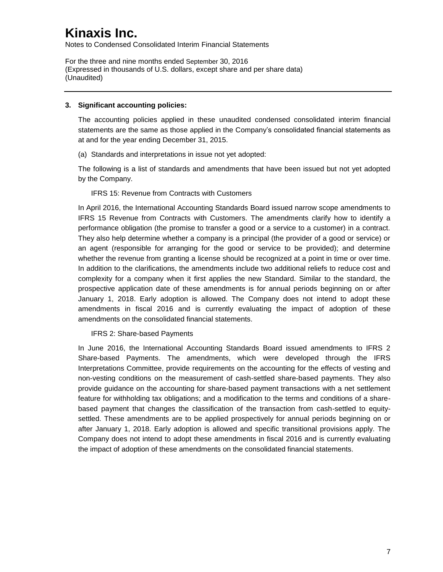Notes to Condensed Consolidated Interim Financial Statements

For the three and nine months ended September 30, 2016 (Expressed in thousands of U.S. dollars, except share and per share data) (Unaudited)

#### **3. Significant accounting policies:**

The accounting policies applied in these unaudited condensed consolidated interim financial statements are the same as those applied in the Company's consolidated financial statements as at and for the year ending December 31, 2015.

(a) Standards and interpretations in issue not yet adopted:

The following is a list of standards and amendments that have been issued but not yet adopted by the Company.

#### IFRS 15: Revenue from Contracts with Customers

In April 2016, the International Accounting Standards Board issued narrow scope amendments to IFRS 15 Revenue from Contracts with Customers. The amendments clarify how to identify a performance obligation (the promise to transfer a good or a service to a customer) in a contract. They also help determine whether a company is a principal (the provider of a good or service) or an agent (responsible for arranging for the good or service to be provided); and determine whether the revenue from granting a license should be recognized at a point in time or over time. In addition to the clarifications, the amendments include two additional reliefs to reduce cost and complexity for a company when it first applies the new Standard. Similar to the standard, the prospective application date of these amendments is for annual periods beginning on or after January 1, 2018. Early adoption is allowed. The Company does not intend to adopt these amendments in fiscal 2016 and is currently evaluating the impact of adoption of these amendments on the consolidated financial statements.

#### IFRS 2: Share-based Payments

In June 2016, the International Accounting Standards Board issued amendments to IFRS 2 Share-based Payments. The amendments, which were developed through the IFRS Interpretations Committee, provide requirements on the accounting for the effects of vesting and non-vesting conditions on the measurement of cash-settled share-based payments. They also provide guidance on the accounting for share-based payment transactions with a net settlement feature for withholding tax obligations; and a modification to the terms and conditions of a sharebased payment that changes the classification of the transaction from cash-settled to equitysettled. These amendments are to be applied prospectively for annual periods beginning on or after January 1, 2018. Early adoption is allowed and specific transitional provisions apply. The Company does not intend to adopt these amendments in fiscal 2016 and is currently evaluating the impact of adoption of these amendments on the consolidated financial statements.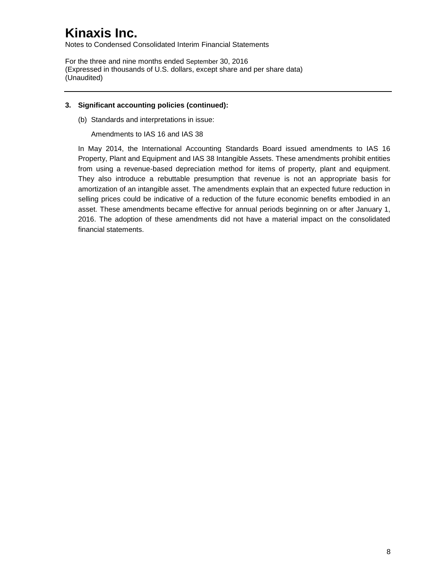Notes to Condensed Consolidated Interim Financial Statements

For the three and nine months ended September 30, 2016 (Expressed in thousands of U.S. dollars, except share and per share data) (Unaudited)

#### **3. Significant accounting policies (continued):**

(b) Standards and interpretations in issue:

Amendments to IAS 16 and IAS 38

In May 2014, the International Accounting Standards Board issued amendments to IAS 16 Property, Plant and Equipment and IAS 38 Intangible Assets. These amendments prohibit entities from using a revenue-based depreciation method for items of property, plant and equipment. They also introduce a rebuttable presumption that revenue is not an appropriate basis for amortization of an intangible asset. The amendments explain that an expected future reduction in selling prices could be indicative of a reduction of the future economic benefits embodied in an asset. These amendments became effective for annual periods beginning on or after January 1, 2016. The adoption of these amendments did not have a material impact on the consolidated financial statements.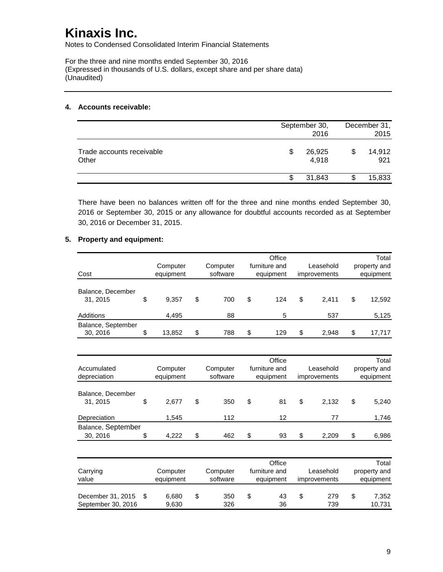Notes to Condensed Consolidated Interim Financial Statements

For the three and nine months ended September 30, 2016 (Expressed in thousands of U.S. dollars, except share and per share data) (Unaudited)

#### **4. Accounts receivable:**

|                                    |   | September 30,<br>2016 | December 31,<br>2015 |
|------------------------------------|---|-----------------------|----------------------|
| Trade accounts receivable<br>Other | S | 26,925<br>4,918       | \$<br>14,912<br>921  |
|                                    |   | 31,843                | 15,833               |

There have been no balances written off for the three and nine months ended September 30, 2016 or September 30, 2015 or any allowance for doubtful accounts recorded as at September 30, 2016 or December 31, 2015.

#### **5. Property and equipment:**

|                    |    |           |           | Office                    |    |              |           | Total        |
|--------------------|----|-----------|-----------|---------------------------|----|--------------|-----------|--------------|
|                    |    | Computer  | Computer  | furniture and             |    | Leasehold    |           | property and |
| Cost               |    | equipment | software  | equipment                 |    | improvements |           | equipment    |
|                    |    |           |           |                           |    |              |           |              |
| Balance, December  |    |           |           |                           |    |              |           |              |
| 31, 2015           | \$ | 9,357     | \$<br>700 | \$<br>124                 | \$ | 2,411        | \$        | 12,592       |
| Additions          |    | 4,495     | 88        | 5                         |    | 537          |           | 5,125        |
| Balance, September |    |           |           |                           |    |              |           |              |
| 30, 2016           | \$ | 13,852    | \$<br>788 | \$<br>129                 | \$ | 2,948        | \$        | 17,717       |
|                    |    |           |           |                           |    |              |           |              |
|                    |    |           |           | Office                    |    |              |           | Total        |
| Accumulated        |    | Computer  | Computer  | furniture and             |    | Leasehold    |           | property and |
| depreciation       |    | equipment | software  | equipment<br>improvements |    |              | equipment |              |
|                    |    |           |           |                           |    |              |           |              |
| Balance, December  |    |           |           |                           |    |              |           |              |
| 31, 2015           | \$ | 2,677     | \$<br>350 | \$<br>81                  | \$ | 2,132        | \$        | 5,240        |
| Depreciation       |    | 1,545     | 112       | 12                        |    | 77           |           | 1,746        |
| Balance, September |    |           |           |                           |    |              |           |              |
| 30, 2016           | \$ | 4,222     | \$<br>462 | \$<br>93                  | \$ | 2,209        | \$        | 6,986        |
|                    |    |           |           |                           |    |              |           |              |
|                    |    |           |           | Office                    |    |              |           | Total        |
| Carrying           |    | Computer  | Computer  | furniture and             |    | Leasehold    |           | property and |
| value              |    | equipment | software  | equipment                 |    | improvements |           | equipment    |
|                    |    |           |           |                           |    |              |           |              |
| December 31, 2015  | \$ | 6.680     | \$<br>350 | \$<br>43                  | \$ | 279          | \$        | 7,352        |
| September 30, 2016 |    | 9.630     | 326       | 36                        |    | 739          |           | 10,731       |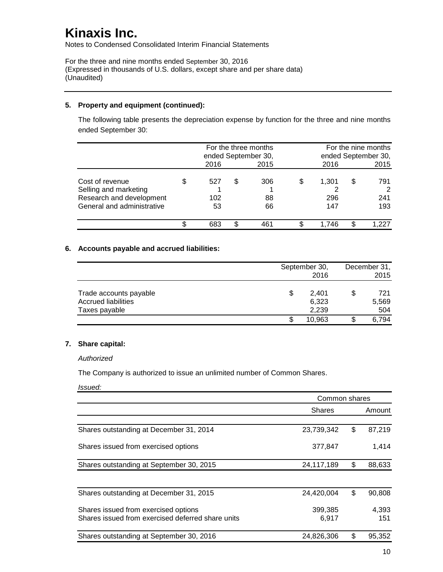Notes to Condensed Consolidated Interim Financial Statements

For the three and nine months ended September 30, 2016 (Expressed in thousands of U.S. dollars, except share and per share data) (Unaudited)

#### **5. Property and equipment (continued):**

The following table presents the depreciation expense by function for the three and nine months ended September 30:

|                                                                                                    |                  |   | For the three months<br>ended September 30, |   |                     | For the nine months<br>ended September 30, |                   |  |
|----------------------------------------------------------------------------------------------------|------------------|---|---------------------------------------------|---|---------------------|--------------------------------------------|-------------------|--|
|                                                                                                    | 2016             |   | 2015                                        |   | 2016                |                                            | 2015              |  |
| Cost of revenue<br>Selling and marketing<br>Research and development<br>General and administrative | 527<br>102<br>53 | S | 306<br>88<br>66                             | S | 1,301<br>296<br>147 | S                                          | 791<br>241<br>193 |  |
|                                                                                                    | 683              |   |                                             |   | 1.746               |                                            |                   |  |

#### **6. Accounts payable and accrued liabilities:**

|                            |   | September 30, | December 31, |       |  |
|----------------------------|---|---------------|--------------|-------|--|
|                            |   | 2016          |              | 2015  |  |
|                            |   |               |              |       |  |
| Trade accounts payable     | S | 2.401         | S            | 721   |  |
| <b>Accrued liabilities</b> |   | 6,323         |              | 5,569 |  |
| Taxes payable              |   | 2.239         |              | 504   |  |
|                            |   | 10,963        |              | 6.794 |  |

#### **7. Share capital:**

#### *Authorized*

The Company is authorized to issue an unlimited number of Common Shares.

*Issued:*

|                                                   | Common shares |              |
|---------------------------------------------------|---------------|--------------|
|                                                   | <b>Shares</b> | Amount       |
| Shares outstanding at December 31, 2014           | 23,739,342    | \$<br>87,219 |
| Shares issued from exercised options              | 377,847       | 1,414        |
| Shares outstanding at September 30, 2015          | 24,117,189    | \$<br>88,633 |
| Shares outstanding at December 31, 2015           | 24,420,004    | \$<br>90,808 |
| Shares issued from exercised options              | 399,385       | 4,393        |
| Shares issued from exercised deferred share units | 6,917         | 151          |
| Shares outstanding at September 30, 2016          | 24,826,306    | \$<br>95,352 |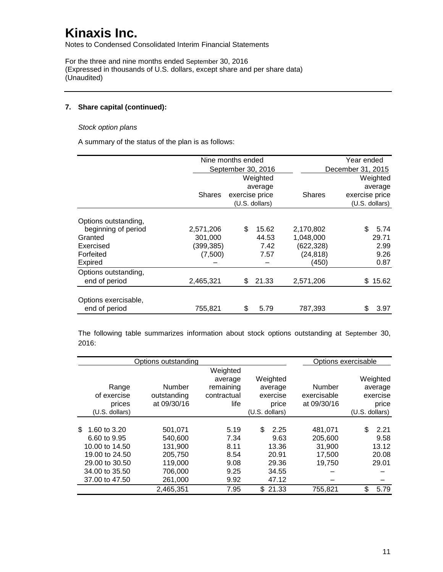Notes to Condensed Consolidated Interim Financial Statements

For the three and nine months ended September 30, 2016 (Expressed in thousands of U.S. dollars, except share and per share data) (Unaudited)

#### **7. Share capital (continued):**

#### *Stock option plans*

A summary of the status of the plan is as follows:

|                      |               | Nine months ended  |                |               | Year ended        |
|----------------------|---------------|--------------------|----------------|---------------|-------------------|
|                      |               | September 30, 2016 |                |               | December 31, 2015 |
|                      |               |                    | Weighted       |               | Weighted          |
|                      |               |                    | average        |               | average           |
|                      | <b>Shares</b> | exercise price     |                | <b>Shares</b> | exercise price    |
|                      |               |                    | (U.S. dollars) |               | (U.S. dollars)    |
| Options outstanding, |               |                    |                |               |                   |
| beginning of period  | 2,571,206     | \$                 | 15.62          | 2,170,802     | \$<br>5.74        |
| Granted              | 301,000       |                    | 44.53          | 1,048,000     | 29.71             |
| Exercised            | (399, 385)    |                    | 7.42           | (622,328)     | 2.99              |
| Forfeited            | (7,500)       |                    | 7.57           | (24, 818)     | 9.26              |
| <b>Expired</b>       |               |                    |                | (450)         | 0.87              |
| Options outstanding, |               |                    |                |               |                   |
| end of period        | 2,465,321     | \$.                | 21.33          | 2,571,206     | \$15.62           |
| Options exercisable, |               |                    |                |               |                   |
| end of period        | 755,821       | \$                 | 5.79           | 787,393       | \$<br>3.97        |

The following table summarizes information about stock options outstanding at September 30, 2016:

|                     | Options outstanding |                     |                |             | Options exercisable |
|---------------------|---------------------|---------------------|----------------|-------------|---------------------|
|                     |                     | Weighted<br>average | Weighted       |             | Weighted            |
| Range               | Number              | remaining           | average        | Number      | average             |
| of exercise         | outstanding         | contractual         | exercise       | exercisable | exercise            |
| prices              | at 09/30/16         | life                | price          | at 09/30/16 | price               |
| (U.S. dollars)      |                     |                     | (U.S. dollars) |             | $(U.S.$ dollars)    |
|                     |                     |                     |                |             |                     |
| 1.60 to 3.20<br>\$. | 501.071             | 5.19                | \$.<br>2.25    | 481,071     | 2.21<br>\$.         |
| 6.60 to 9.95        | 540.600             | 7.34                | 9.63           | 205,600     | 9.58                |
| 10.00 to 14.50      | 131.900             | 8.11                | 13.36          | 31,900      | 13.12               |
| 19.00 to 24.50      | 205,750             | 8.54                | 20.91          | 17,500      | 20.08               |
| 29,00 to 30,50      | 119.000             | 9.08                | 29.36          | 19,750      | 29.01               |
| 34,00 to 35,50      | 706.000             | 9.25                | 34.55          |             |                     |
| 37.00 to 47.50      | 261.000             | 9.92                | 47.12          |             |                     |
|                     | 2,465,351           | 7.95                | \$21.33        | 755,821     | \$<br>5.79          |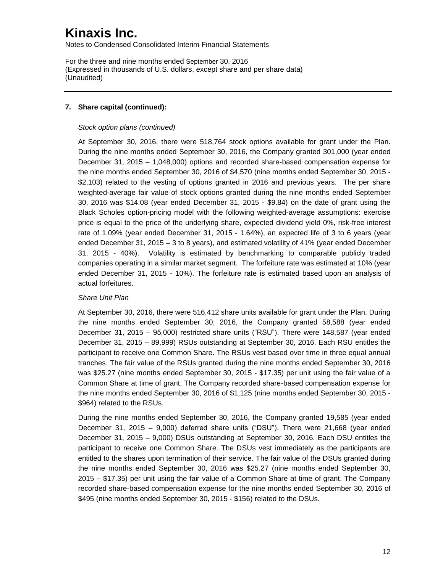Notes to Condensed Consolidated Interim Financial Statements

For the three and nine months ended September 30, 2016 (Expressed in thousands of U.S. dollars, except share and per share data) (Unaudited)

#### **7. Share capital (continued):**

#### *Stock option plans (continued)*

At September 30, 2016, there were 518,764 stock options available for grant under the Plan. During the nine months ended September 30, 2016, the Company granted 301,000 (year ended December 31, 2015 – 1,048,000) options and recorded share-based compensation expense for the nine months ended September 30, 2016 of \$4,570 (nine months ended September 30, 2015 - \$2,103) related to the vesting of options granted in 2016 and previous years. The per share weighted-average fair value of stock options granted during the nine months ended September 30, 2016 was \$14.08 (year ended December 31, 2015 - \$9.84) on the date of grant using the Black Scholes option-pricing model with the following weighted-average assumptions: exercise price is equal to the price of the underlying share, expected dividend yield 0%, risk-free interest rate of 1.09% (year ended December 31, 2015 - 1.64%), an expected life of 3 to 6 years (year ended December 31, 2015 – 3 to 8 years), and estimated volatility of 41% (year ended December 31, 2015 - 40%). Volatility is estimated by benchmarking to comparable publicly traded companies operating in a similar market segment. The forfeiture rate was estimated at 10% (year ended December 31, 2015 - 10%). The forfeiture rate is estimated based upon an analysis of actual forfeitures.

#### *Share Unit Plan*

At September 30, 2016, there were 516,412 share units available for grant under the Plan. During the nine months ended September 30, 2016, the Company granted 58,588 (year ended December 31, 2015 – 95,000) restricted share units ("RSU"). There were 148,587 (year ended December 31, 2015 – 89,999) RSUs outstanding at September 30, 2016. Each RSU entitles the participant to receive one Common Share. The RSUs vest based over time in three equal annual tranches. The fair value of the RSUs granted during the nine months ended September 30, 2016 was \$25.27 (nine months ended September 30, 2015 - \$17.35) per unit using the fair value of a Common Share at time of grant. The Company recorded share-based compensation expense for the nine months ended September 30, 2016 of \$1,125 (nine months ended September 30, 2015 - \$964) related to the RSUs.

During the nine months ended September 30, 2016, the Company granted 19,585 (year ended December 31, 2015 – 9,000) deferred share units ("DSU"). There were 21,668 (year ended December 31, 2015 – 9,000) DSUs outstanding at September 30, 2016. Each DSU entitles the participant to receive one Common Share. The DSUs vest immediately as the participants are entitled to the shares upon termination of their service. The fair value of the DSUs granted during the nine months ended September 30, 2016 was \$25.27 (nine months ended September 30, 2015 – \$17.35) per unit using the fair value of a Common Share at time of grant. The Company recorded share-based compensation expense for the nine months ended September 30, 2016 of \$495 (nine months ended September 30, 2015 - \$156) related to the DSUs.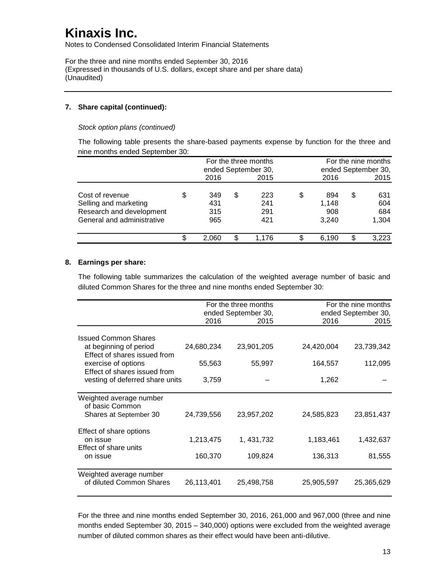Notes to Condensed Consolidated Interim Financial Statements

For the three and nine months ended September 30, 2016 (Expressed in thousands of U.S. dollars, except share and per share data) (Unaudited)

#### **7. Share capital (continued):**

*Stock option plans (continued)*

The following table presents the share-based payments expense by function for the three and nine months ended September 30:

|                            |           |     | For the three months | For the nine months |   |                     |  |
|----------------------------|-----------|-----|----------------------|---------------------|---|---------------------|--|
|                            |           |     | ended September 30,  |                     |   | ended September 30, |  |
|                            | 2016      |     | 2015                 | 2016                |   | 2015                |  |
| Cost of revenue            | \$<br>349 | S   | 223                  | \$<br>894           | S | 631                 |  |
| Selling and marketing      | 431       |     | 241                  | 1,148               |   | 604                 |  |
| Research and development   | 315       |     | 291                  | 908                 |   | 684                 |  |
| General and administrative | 965       |     | 421                  | 3.240               |   | 1,304               |  |
|                            | 2.060     | \$. | 1.176                | 6.190               | S | 3,223               |  |

#### **8. Earnings per share:**

The following table summarizes the calculation of the weighted average number of basic and diluted Common Shares for the three and nine months ended September 30:

|                                                                 |            | For the three months<br>ended September 30, |            | For the nine months<br>ended September 30, |
|-----------------------------------------------------------------|------------|---------------------------------------------|------------|--------------------------------------------|
|                                                                 | 2016       | 2015                                        | 2016       | 2015                                       |
| <b>Issued Common Shares</b><br>at beginning of period           | 24,680,234 | 23,901,205                                  | 24,420,004 | 23,739,342                                 |
| Effect of shares issued from<br>exercise of options             | 55,563     | 55,997                                      | 164,557    | 112,095                                    |
| Effect of shares issued from<br>vesting of deferred share units | 3,759      |                                             | 1,262      |                                            |
|                                                                 |            |                                             |            |                                            |
| Weighted average number<br>of basic Common                      |            |                                             |            |                                            |
| Shares at September 30                                          | 24,739,556 | 23,957,202                                  | 24,585,823 | 23,851,437                                 |
| Effect of share options<br>on issue                             | 1,213,475  | 1, 431, 732                                 | 1,183,461  | 1,432,637                                  |
| Effect of share units<br>on issue                               | 160,370    | 109,824                                     | 136,313    | 81,555                                     |
| Weighted average number<br>of diluted Common Shares             | 26,113,401 | 25,498,758                                  | 25,905,597 | 25,365,629                                 |

For the three and nine months ended September 30, 2016, 261,000 and 967,000 (three and nine months ended September 30, 2015 – 340,000) options were excluded from the weighted average number of diluted common shares as their effect would have been anti-dilutive.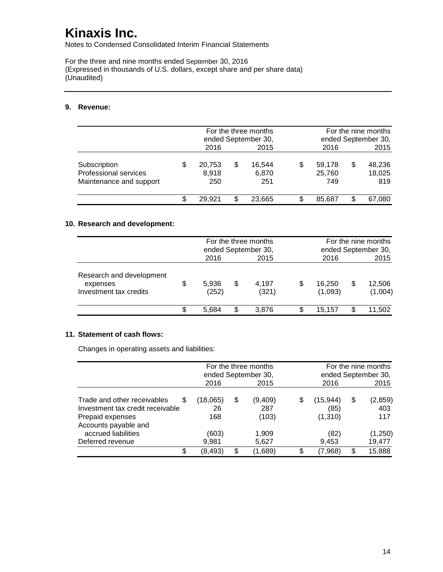Notes to Condensed Consolidated Interim Financial Statements

For the three and nine months ended September 30, 2016 (Expressed in thousands of U.S. dollars, except share and per share data) (Unaudited)

#### **9. Revenue:**

|                                                                  | For the three months<br>ended September 30, |    |                        |                         |   | For the nine months<br>ended September 30, |
|------------------------------------------------------------------|---------------------------------------------|----|------------------------|-------------------------|---|--------------------------------------------|
|                                                                  | 2016                                        |    | 2015                   | 2016                    |   | 2015                                       |
| Subscription<br>Professional services<br>Maintenance and support | \$<br>20,753<br>8,918<br>250                | S  | 16,544<br>6,870<br>251 | 59.178<br>25,760<br>749 | S | 48,236<br>18,025<br>819                    |
|                                                                  | 29.921                                      | S. | 23.665                 | 85.687                  |   | 67.080                                     |

### **10. Research and development:**

|                                                                | For the three months<br>ended September 30, |     |                |                   | For the nine months<br>ended September 30, |                   |
|----------------------------------------------------------------|---------------------------------------------|-----|----------------|-------------------|--------------------------------------------|-------------------|
|                                                                | 2016                                        |     | 2015           | 2016              |                                            | 2015              |
| Research and development<br>expenses<br>Investment tax credits | \$<br>5,936<br>(252)                        | S   | 4.197<br>(321) | 16,250<br>(1,093) | S                                          | 12,506<br>(1,004) |
|                                                                | 5.684                                       | \$. | 3.876          | 15.157            |                                            | 11,502            |

### **11. Statement of cash flows:**

Changes in operating assets and liabilities:

|                                                                                                                    | For the three months<br>ended September 30, |    |                         |                             |    | For the nine months<br>ended September 30, |
|--------------------------------------------------------------------------------------------------------------------|---------------------------------------------|----|-------------------------|-----------------------------|----|--------------------------------------------|
|                                                                                                                    | 2016                                        |    | 2015                    | 2016                        |    | 2015                                       |
| Trade and other receivables<br>\$.<br>Investment tax credit receivable<br>Prepaid expenses<br>Accounts payable and | (18,065)<br>26<br>168                       | \$ | (9,409)<br>287<br>(103) | (15,944)<br>(85)<br>(1,310) | \$ | (2,859)<br>403<br>117                      |
| accrued liabilities<br>Deferred revenue                                                                            | (603)<br>9,981                              |    | 1,909<br>5,627          | (82)<br>9,453               |    | (1,250)<br>19,477                          |
| S                                                                                                                  | (8,493)                                     | \$ | (1,689)                 | $\left( 7,968\right)$       | S  | 15,888                                     |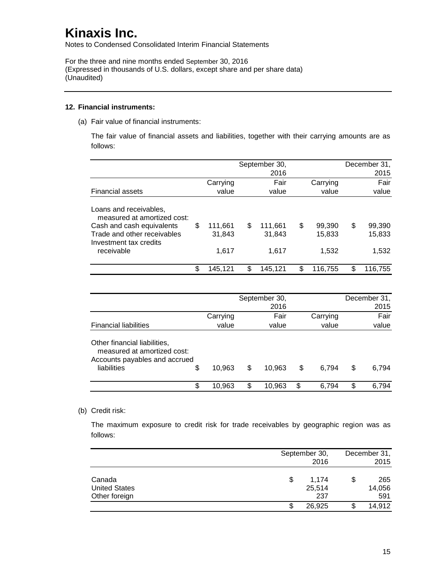Notes to Condensed Consolidated Interim Financial Statements

For the three and nine months ended September 30, 2016 (Expressed in thousands of U.S. dollars, except share and per share data) (Unaudited)

#### **12. Financial instruments:**

(a) Fair value of financial instruments:

The fair value of financial assets and liabilities, together with their carrying amounts are as follows:

|                                                                                                                                                           |                                  |    | September 30,<br>2016      |                                 |   | December 31,<br>2015      |
|-----------------------------------------------------------------------------------------------------------------------------------------------------------|----------------------------------|----|----------------------------|---------------------------------|---|---------------------------|
|                                                                                                                                                           | Carrying                         |    | Fair                       | Carrying                        |   | Fair                      |
| <b>Financial assets</b>                                                                                                                                   | value                            |    | value                      | value                           |   | value                     |
| Loans and receivables,<br>measured at amortized cost:<br>Cash and cash equivalents<br>Trade and other receivables<br>Investment tax credits<br>receivable | \$<br>111,661<br>31,843<br>1.617 | S  | 111,661<br>31,843<br>1.617 | \$<br>99,390<br>15,833<br>1,532 | S | 99,390<br>15,833<br>1,532 |
|                                                                                                                                                           | \$<br>145,121                    | \$ | 145.121                    | \$<br>116,755                   | S | 116,755                   |

|                                                                                                                   |          | September 30,<br>2016 |             | December 31,<br>2015 |
|-------------------------------------------------------------------------------------------------------------------|----------|-----------------------|-------------|----------------------|
|                                                                                                                   | Carrying | Fair                  | Carrying    | Fair                 |
| <b>Financial liabilities</b>                                                                                      | value    | value                 | value       | value                |
| Other financial liabilities,<br>measured at amortized cost:<br>Accounts payables and accrued<br>liabilities<br>\$ | 10.963   | \$<br>10.963          | \$<br>6.794 | \$<br>6,794          |
| \$                                                                                                                | 10.963   | \$<br>10,963          | \$<br>6.794 | \$<br>6.794          |

#### (b) Credit risk:

The maximum exposure to credit risk for trade receivables by geographic region was as follows:

|                      |    | September 30, |    |        |
|----------------------|----|---------------|----|--------|
|                      |    | 2016          |    | 2015   |
| Canada               | \$ | 1.174         | \$ | 265    |
| <b>United States</b> |    | 25,514        |    | 14,056 |
| Other foreign        |    | 237           |    | 591    |
|                      | S  | 26,925        |    | 14,912 |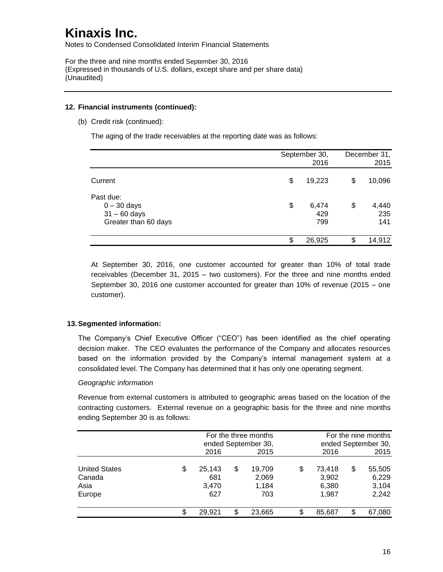Notes to Condensed Consolidated Interim Financial Statements

For the three and nine months ended September 30, 2016 (Expressed in thousands of U.S. dollars, except share and per share data) (Unaudited)

#### **12. Financial instruments (continued):**

(b) Credit risk (continued):

The aging of the trade receivables at the reporting date was as follows:

|                      | September 30, | December 31, |        |  |
|----------------------|---------------|--------------|--------|--|
|                      | 2016          |              | 2015   |  |
| Current              | \$<br>19,223  | \$           | 10,096 |  |
| Past due:            |               |              |        |  |
| $0 - 30$ days        | \$<br>6,474   | \$           | 4,440  |  |
| $31 - 60$ days       | 429           |              | 235    |  |
| Greater than 60 days | 799           |              | 141    |  |
|                      | \$<br>26,925  | œ            | 14,912 |  |

At September 30, 2016, one customer accounted for greater than 10% of total trade receivables (December 31, 2015 – two customers). For the three and nine months ended September 30, 2016 one customer accounted for greater than 10% of revenue (2015 – one customer).

#### **13.Segmented information:**

The Company's Chief Executive Officer ("CEO") has been identified as the chief operating decision maker. The CEO evaluates the performance of the Company and allocates resources based on the information provided by the Company's internal management system at a consolidated level. The Company has determined that it has only one operating segment.

#### *Geographic information*

Revenue from external customers is attributed to geographic areas based on the location of the contracting customers. External revenue on a geographic basis for the three and nine months ending September 30 is as follows:

|                                        |    | For the three months<br>ended September 30, |    |                 |    |                 | For the nine months<br>ended September 30, |
|----------------------------------------|----|---------------------------------------------|----|-----------------|----|-----------------|--------------------------------------------|
|                                        |    | 2016                                        |    | 2015            |    | 2016            | 2015                                       |
| <b>United States</b><br>Canada<br>Asia | \$ | 25,143<br>681                               | \$ | 19,709<br>2,069 | \$ | 73,418<br>3,902 | \$<br>55,505<br>6,229<br>3,104             |
| Europe                                 |    | 3,470<br>627                                |    | 1,184<br>703    |    | 6,380<br>1,987  | 2,242                                      |
|                                        | S  | 29,921                                      | \$ | 23,665          | S. | 85,687          | \$<br>67,080                               |